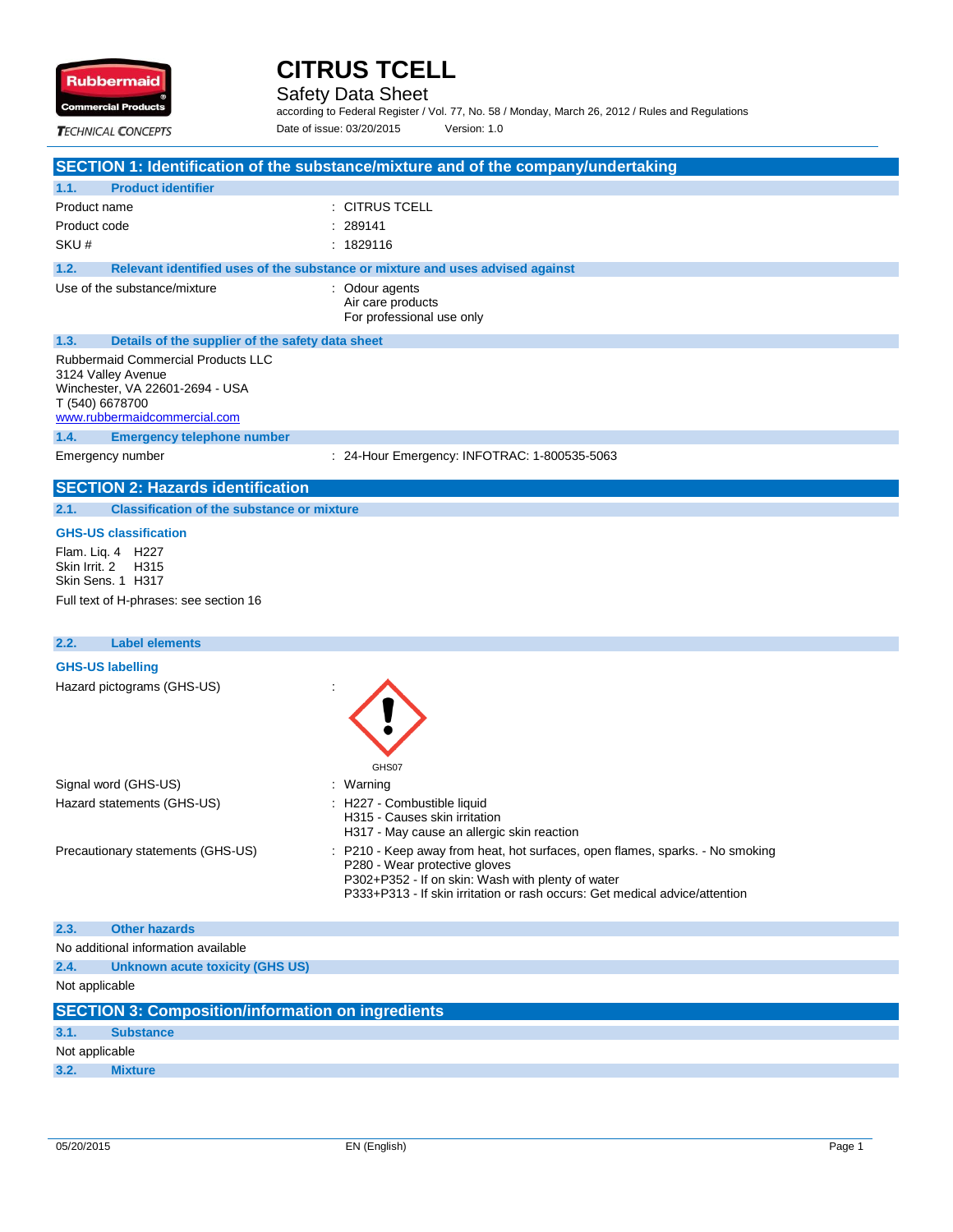

Safety Data Sheet

according to Federal Register / Vol. 77, No. 58 / Monday, March 26, 2012 / Rules and Regulations Date of issue: 03/20/2015 Version: 1.0

**TECHNICAL CONCEPTS** 

## **SECTION 1: Identification of the substance/mixture and of the company/undertaking**

| 1.1.            | <b>Product identifier</b>                                                                                                          |                                                                               |
|-----------------|------------------------------------------------------------------------------------------------------------------------------------|-------------------------------------------------------------------------------|
| Product name    |                                                                                                                                    | : CITRUS TCELL                                                                |
| Product code    |                                                                                                                                    | : 289141                                                                      |
| SKU#            |                                                                                                                                    | : 1829116                                                                     |
| 1.2.            |                                                                                                                                    | Relevant identified uses of the substance or mixture and uses advised against |
|                 | Use of the substance/mixture                                                                                                       | : Odour agents<br>Air care products<br>For professional use only              |
| 1.3.            | Details of the supplier of the safety data sheet                                                                                   |                                                                               |
| T (540) 6678700 | <b>Rubbermaid Commercial Products LLC</b><br>3124 Valley Avenue<br>Winchester, VA 22601-2694 - USA<br>www.rubbermaidcommercial.com |                                                                               |
| 1.4.            | <b>Emergency telephone number</b>                                                                                                  |                                                                               |
|                 | Emergency number                                                                                                                   | : 24-Hour Emergency: INFOTRAC: 1-800535-5063                                  |
|                 | <b>SECTION 2: Hazards identification</b>                                                                                           |                                                                               |

#### **2.1. Classification of the substance or mixture**

#### **GHS-US classification**

Flam. Liq. 4 H227 Skin Irrit. 2 H315 Skin Sens. 1 H317 Full text of H-phrases: see section 16

## **2.2. Label elements**

| <b>GHS-US labelling</b><br>Hazard pictograms (GHS-US) | GHS07                                                                                                                                                                                                                                              |
|-------------------------------------------------------|----------------------------------------------------------------------------------------------------------------------------------------------------------------------------------------------------------------------------------------------------|
| Signal word (GHS-US)                                  | : Warning                                                                                                                                                                                                                                          |
| Hazard statements (GHS-US)                            | : H227 - Combustible liquid<br>H315 - Causes skin irritation<br>H317 - May cause an allergic skin reaction                                                                                                                                         |
| Precautionary statements (GHS-US)                     | : P210 - Keep away from heat, hot surfaces, open flames, sparks. - No smoking<br>P280 - Wear protective gloves<br>P302+P352 - If on skin: Wash with plenty of water<br>P333+P313 - If skin irritation or rash occurs: Get medical advice/attention |

| 2.3.           | <b>Other hazards</b>                                     |
|----------------|----------------------------------------------------------|
|                | No additional information available                      |
| 2.4.           | Unknown acute toxicity (GHS US)                          |
| Not applicable |                                                          |
|                |                                                          |
|                | <b>SECTION 3: Composition/information on ingredients</b> |
| 3.1.           | <b>Substance</b>                                         |
| Not applicable |                                                          |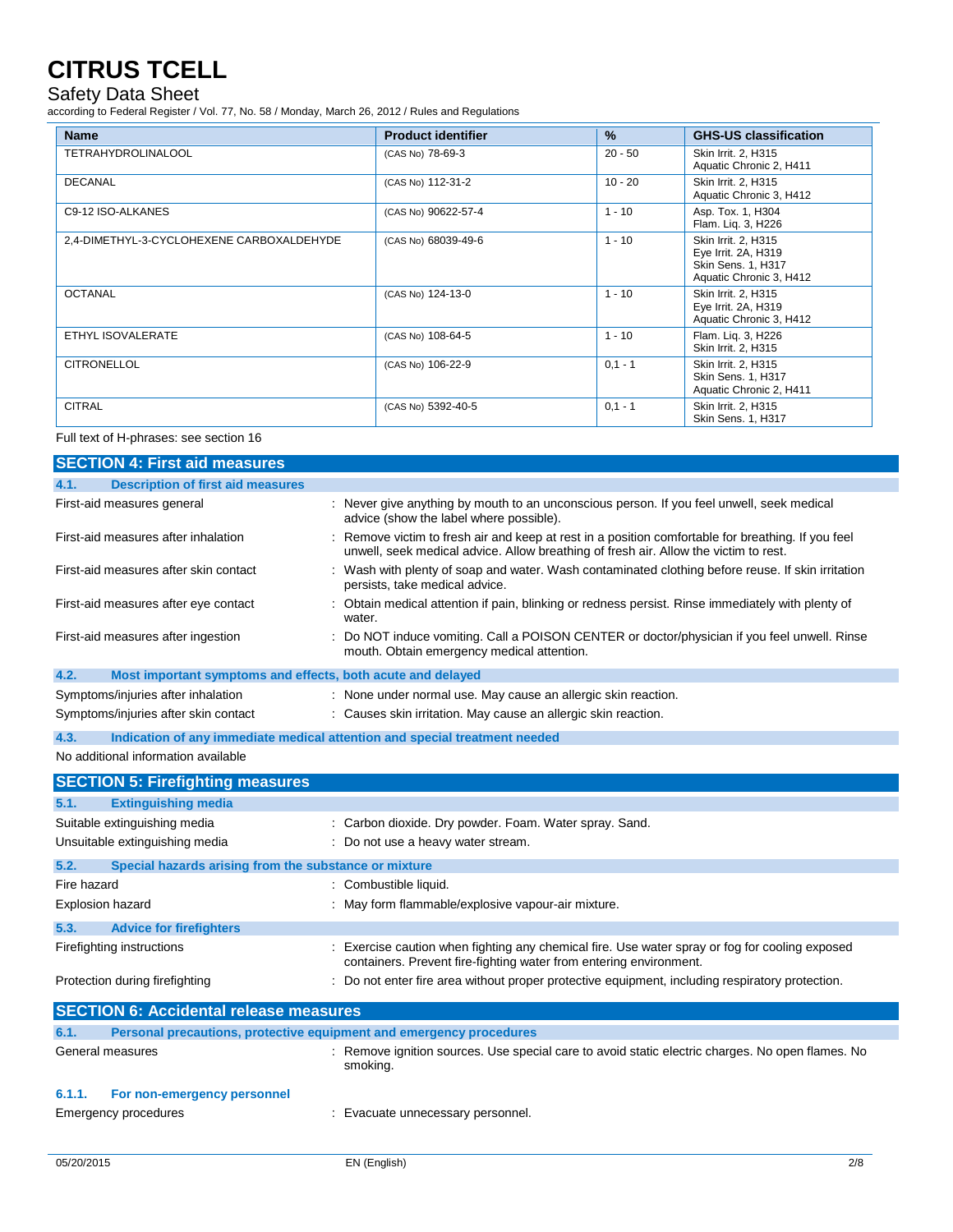### Safety Data Sheet

according to Federal Register / Vol. 77, No. 58 / Monday, March 26, 2012 / Rules and Regulations

| <b>Name</b>                               | <b>Product identifier</b> | $\%$      | <b>GHS-US classification</b>                                                                |
|-------------------------------------------|---------------------------|-----------|---------------------------------------------------------------------------------------------|
| <b>TETRAHYDROLINALOOL</b>                 | (CAS No) 78-69-3          | $20 - 50$ | Skin Irrit. 2, H315<br>Aquatic Chronic 2, H411                                              |
| DECANAL                                   | (CAS No) 112-31-2         | $10 - 20$ | Skin Irrit. 2, H315<br>Aquatic Chronic 3, H412                                              |
| C9-12 ISO-ALKANES                         | (CAS No) 90622-57-4       | $1 - 10$  | Asp. Tox. 1, H304<br>Flam. Lig. 3, H226                                                     |
| 2,4-DIMETHYL-3-CYCLOHEXENE CARBOXALDEHYDE | (CAS No) 68039-49-6       | $1 - 10$  | Skin Irrit. 2, H315<br>Eye Irrit. 2A, H319<br>Skin Sens. 1, H317<br>Aquatic Chronic 3, H412 |
| <b>OCTANAL</b>                            | (CAS No) 124-13-0         | $1 - 10$  | Skin Irrit. 2, H315<br>Eye Irrit. 2A, H319<br>Aquatic Chronic 3, H412                       |
| ETHYL ISOVALERATE                         | (CAS No) 108-64-5         | $1 - 10$  | Flam. Liq. 3, H226<br>Skin Irrit. 2, H315                                                   |
| <b>CITRONELLOL</b>                        | (CAS No) 106-22-9         | $0.1 - 1$ | Skin Irrit. 2, H315<br>Skin Sens. 1, H317<br>Aquatic Chronic 2, H411                        |
| <b>CITRAL</b>                             | (CAS No) 5392-40-5        | $0,1 - 1$ | Skin Irrit. 2, H315<br>Skin Sens. 1, H317                                                   |

#### Full text of H-phrases: see section 16

| <b>SECTION 4: First aid measures</b>          |                                                       |                                                                                                                                                                                          |
|-----------------------------------------------|-------------------------------------------------------|------------------------------------------------------------------------------------------------------------------------------------------------------------------------------------------|
| 4.1.                                          | <b>Description of first aid measures</b>              |                                                                                                                                                                                          |
| First-aid measures general                    |                                                       | : Never give anything by mouth to an unconscious person. If you feel unwell, seek medical<br>advice (show the label where possible).                                                     |
| First-aid measures after inhalation           |                                                       | Remove victim to fresh air and keep at rest in a position comfortable for breathing. If you feel<br>unwell, seek medical advice. Allow breathing of fresh air. Allow the victim to rest. |
| First-aid measures after skin contact         |                                                       | : Wash with plenty of soap and water. Wash contaminated clothing before reuse. If skin irritation<br>persists, take medical advice.                                                      |
| First-aid measures after eye contact          |                                                       | Obtain medical attention if pain, blinking or redness persist. Rinse immediately with plenty of<br>water.                                                                                |
| First-aid measures after ingestion            |                                                       | Do NOT induce vomiting. Call a POISON CENTER or doctor/physician if you feel unwell. Rinse<br>mouth. Obtain emergency medical attention.                                                 |
| 4.2.                                          |                                                       | Most important symptoms and effects, both acute and delayed                                                                                                                              |
| Symptoms/injuries after inhalation            |                                                       | : None under normal use. May cause an allergic skin reaction.                                                                                                                            |
| Symptoms/injuries after skin contact          |                                                       | : Causes skin irritation. May cause an allergic skin reaction.                                                                                                                           |
| 4.3.                                          |                                                       | Indication of any immediate medical attention and special treatment needed                                                                                                               |
| No additional information available           |                                                       |                                                                                                                                                                                          |
| <b>SECTION 5: Firefighting measures</b>       |                                                       |                                                                                                                                                                                          |
| <b>Extinguishing media</b><br>5.1.            |                                                       |                                                                                                                                                                                          |
| Suitable extinguishing media                  |                                                       | : Carbon dioxide. Dry powder. Foam. Water spray. Sand.                                                                                                                                   |
| Unsuitable extinguishing media                |                                                       | : Do not use a heavy water stream.                                                                                                                                                       |
| 5.2.                                          | Special hazards arising from the substance or mixture |                                                                                                                                                                                          |
| Fire hazard                                   |                                                       | : Combustible liquid.                                                                                                                                                                    |
| <b>Explosion hazard</b>                       |                                                       | : May form flammable/explosive vapour-air mixture.                                                                                                                                       |
| 5.3.<br><b>Advice for firefighters</b>        |                                                       |                                                                                                                                                                                          |
| Firefighting instructions                     |                                                       | Exercise caution when fighting any chemical fire. Use water spray or fog for cooling exposed<br>containers. Prevent fire-fighting water from entering environment.                       |
| Protection during firefighting                |                                                       | : Do not enter fire area without proper protective equipment, including respiratory protection.                                                                                          |
| <b>SECTION 6: Accidental release measures</b> |                                                       |                                                                                                                                                                                          |
| 6.1.                                          |                                                       | Personal precautions, protective equipment and emergency procedures                                                                                                                      |
| General measures                              |                                                       | : Remove ignition sources. Use special care to avoid static electric charges. No open flames. No<br>smoking.                                                                             |
| 6.1.1.<br>For non-emergency personnel         |                                                       |                                                                                                                                                                                          |
| <b>Emergency procedures</b>                   |                                                       | : Evacuate unnecessary personnel.                                                                                                                                                        |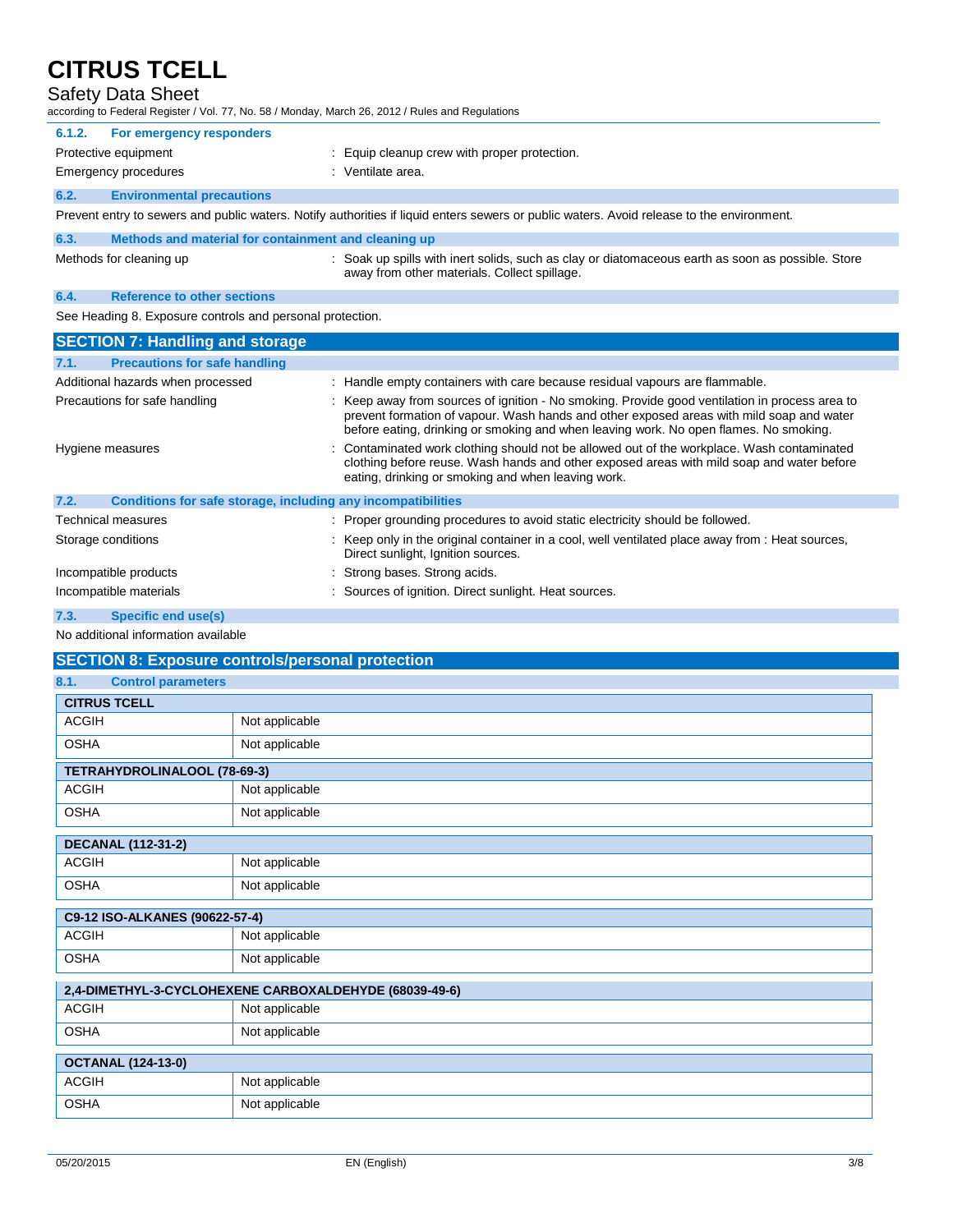## Safety Data Sheet

| according to Federal Register / Vol. 77, No. 58 / Monday, March 26, 2012 / Rules and Regulations |                                                                                                                                                                                                                                                                                     |  |  |  |
|--------------------------------------------------------------------------------------------------|-------------------------------------------------------------------------------------------------------------------------------------------------------------------------------------------------------------------------------------------------------------------------------------|--|--|--|
| For emergency responders<br>6.1.2.                                                               |                                                                                                                                                                                                                                                                                     |  |  |  |
| Protective equipment                                                                             | : Equip cleanup crew with proper protection.                                                                                                                                                                                                                                        |  |  |  |
| Emergency procedures                                                                             | : Ventilate area.                                                                                                                                                                                                                                                                   |  |  |  |
| <b>Environmental precautions</b><br>6.2.                                                         |                                                                                                                                                                                                                                                                                     |  |  |  |
|                                                                                                  | Prevent entry to sewers and public waters. Notify authorities if liquid enters sewers or public waters. Avoid release to the environment.                                                                                                                                           |  |  |  |
| Methods and material for containment and cleaning up<br>6.3.                                     |                                                                                                                                                                                                                                                                                     |  |  |  |
| Methods for cleaning up                                                                          | : Soak up spills with inert solids, such as clay or diatomaceous earth as soon as possible. Store<br>away from other materials. Collect spillage.                                                                                                                                   |  |  |  |
| <b>Reference to other sections</b><br>6.4.                                                       |                                                                                                                                                                                                                                                                                     |  |  |  |
| See Heading 8. Exposure controls and personal protection.                                        |                                                                                                                                                                                                                                                                                     |  |  |  |
|                                                                                                  |                                                                                                                                                                                                                                                                                     |  |  |  |
| <b>SECTION 7: Handling and storage</b>                                                           |                                                                                                                                                                                                                                                                                     |  |  |  |
| 7.1.<br><b>Precautions for safe handling</b>                                                     |                                                                                                                                                                                                                                                                                     |  |  |  |
| Additional hazards when processed                                                                | : Handle empty containers with care because residual vapours are flammable.                                                                                                                                                                                                         |  |  |  |
| Precautions for safe handling                                                                    | : Keep away from sources of ignition - No smoking. Provide good ventilation in process area to<br>prevent formation of vapour. Wash hands and other exposed areas with mild soap and water<br>before eating, drinking or smoking and when leaving work. No open flames. No smoking. |  |  |  |
| Hygiene measures                                                                                 | Contaminated work clothing should not be allowed out of the workplace. Wash contaminated<br>clothing before reuse. Wash hands and other exposed areas with mild soap and water before<br>eating, drinking or smoking and when leaving work.                                         |  |  |  |
| Conditions for safe storage, including any incompatibilities<br>7.2.                             |                                                                                                                                                                                                                                                                                     |  |  |  |

Storage conditions **interpret only in the original container in a cool, well ventilated place away from : Heat sources,** Direct sunlight, Ignition sources. : Strong bases. Strong acids.

|  | Incompatible products |  |
|--|-----------------------|--|

#### Incompatible materials **incompatible materials** : Sources of ignition. Direct sunlight. Heat sources.

**7.3. Specific end use(s)**

#### No additional information available

| <b>SECTION 8: Exposure controls/personal protection</b> |                |  |
|---------------------------------------------------------|----------------|--|
| <b>Control parameters</b><br>8.1.                       |                |  |
| <b>CITRUS TCELL</b>                                     |                |  |
| <b>ACGIH</b>                                            | Not applicable |  |
| <b>OSHA</b>                                             | Not applicable |  |
| TETRAHYDROLINALOOL (78-69-3)                            |                |  |
| <b>ACGIH</b>                                            | Not applicable |  |
| <b>OSHA</b>                                             | Not applicable |  |
| <b>DECANAL (112-31-2)</b>                               |                |  |
| <b>ACGIH</b>                                            | Not applicable |  |
| <b>OSHA</b>                                             | Not applicable |  |
| C9-12 ISO-ALKANES (90622-57-4)                          |                |  |
| <b>ACGIH</b>                                            | Not applicable |  |
| <b>OSHA</b>                                             | Not applicable |  |
| 2,4-DIMETHYL-3-CYCLOHEXENE CARBOXALDEHYDE (68039-49-6)  |                |  |
| <b>ACGIH</b>                                            | Not applicable |  |
| <b>OSHA</b>                                             | Not applicable |  |
| <b>OCTANAL (124-13-0)</b>                               |                |  |
| <b>ACGIH</b>                                            | Not applicable |  |
| <b>OSHA</b>                                             | Not applicable |  |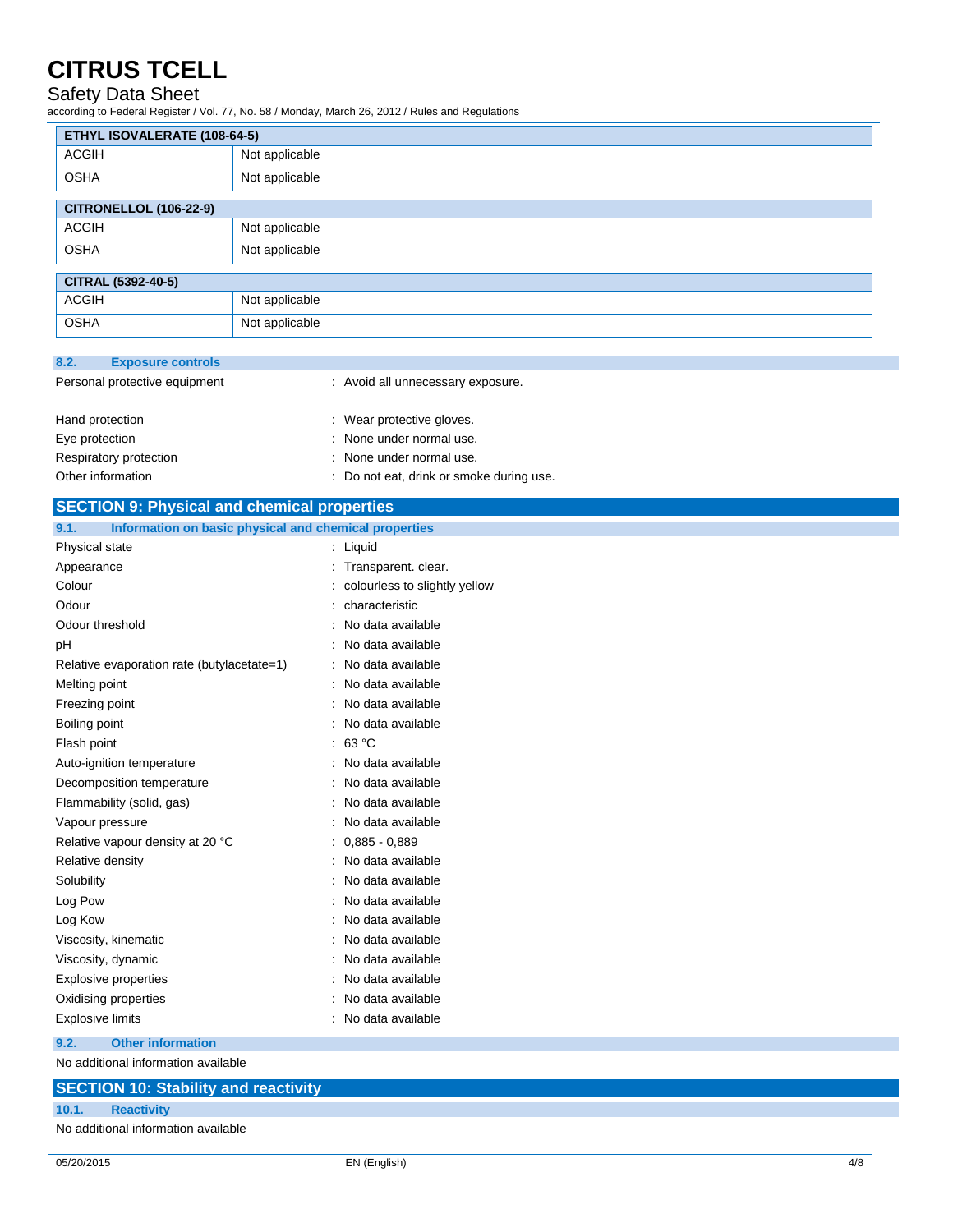### Safety Data Sheet

according to Federal Register / Vol. 77, No. 58 / Monday, March 26, 2012 / Rules and Regulations

| ETHYL ISOVALERATE (108-64-5)  |                |  |
|-------------------------------|----------------|--|
| <b>ACGIH</b>                  | Not applicable |  |
| <b>OSHA</b>                   | Not applicable |  |
| <b>CITRONELLOL (106-22-9)</b> |                |  |
| <b>ACGIH</b>                  | Not applicable |  |
| <b>OSHA</b>                   | Not applicable |  |
| CITRAL (5392-40-5)            |                |  |
| <b>ACGIH</b>                  | Not applicable |  |
| <b>OSHA</b>                   | Not applicable |  |

| 8.2.            | <b>Exposure controls</b>      |                                   |
|-----------------|-------------------------------|-----------------------------------|
|                 | Personal protective equipment | : Avoid all unnecessary exposure. |
| Hand protection |                               | : Wear protective gloves.         |
| Eye protection  |                               | : None under normal use.          |
|                 | Respiratory protection        | : None under normal use.          |

| Other information | : Do not eat, drink or smoke during use. |
|-------------------|------------------------------------------|
|-------------------|------------------------------------------|

| Other information                                             | Do not eat, drink or smoke during use. |
|---------------------------------------------------------------|----------------------------------------|
| <b>SECTION 9: Physical and chemical properties</b>            |                                        |
| 9.1.<br>Information on basic physical and chemical properties |                                        |
| Physical state                                                | : Liquid                               |
| Appearance                                                    | : Transparent. clear.                  |
| Colour                                                        | colourless to slightly yellow          |
| Odour                                                         | characteristic                         |
| Odour threshold                                               | No data available                      |
| рH                                                            | No data available                      |
| Relative evaporation rate (butylacetate=1)                    | : No data available                    |
| Melting point                                                 | No data available                      |
| Freezing point                                                | No data available                      |
| Boiling point                                                 | No data available                      |
| Flash point                                                   | : 63 °C                                |
| Auto-ignition temperature                                     | : No data available                    |
| Decomposition temperature                                     | No data available                      |
| Flammability (solid, gas)                                     | No data available                      |
| Vapour pressure                                               | No data available                      |
| Relative vapour density at 20 °C                              | $0,885 - 0,889$                        |
| Relative density                                              | No data available                      |
| Solubility                                                    | No data available                      |
| Log Pow                                                       | No data available                      |
| Log Kow                                                       | No data available                      |
| Viscosity, kinematic                                          | No data available                      |
| Viscosity, dynamic                                            | No data available                      |
| <b>Explosive properties</b>                                   | No data available                      |
| Oxidising properties                                          | No data available                      |
| <b>Explosive limits</b>                                       | No data available                      |
| 9.2.<br><b>Other information</b>                              |                                        |

No additional information available

### **SECTION 10: Stability and reactivity 10.1. Reactivity** No additional information available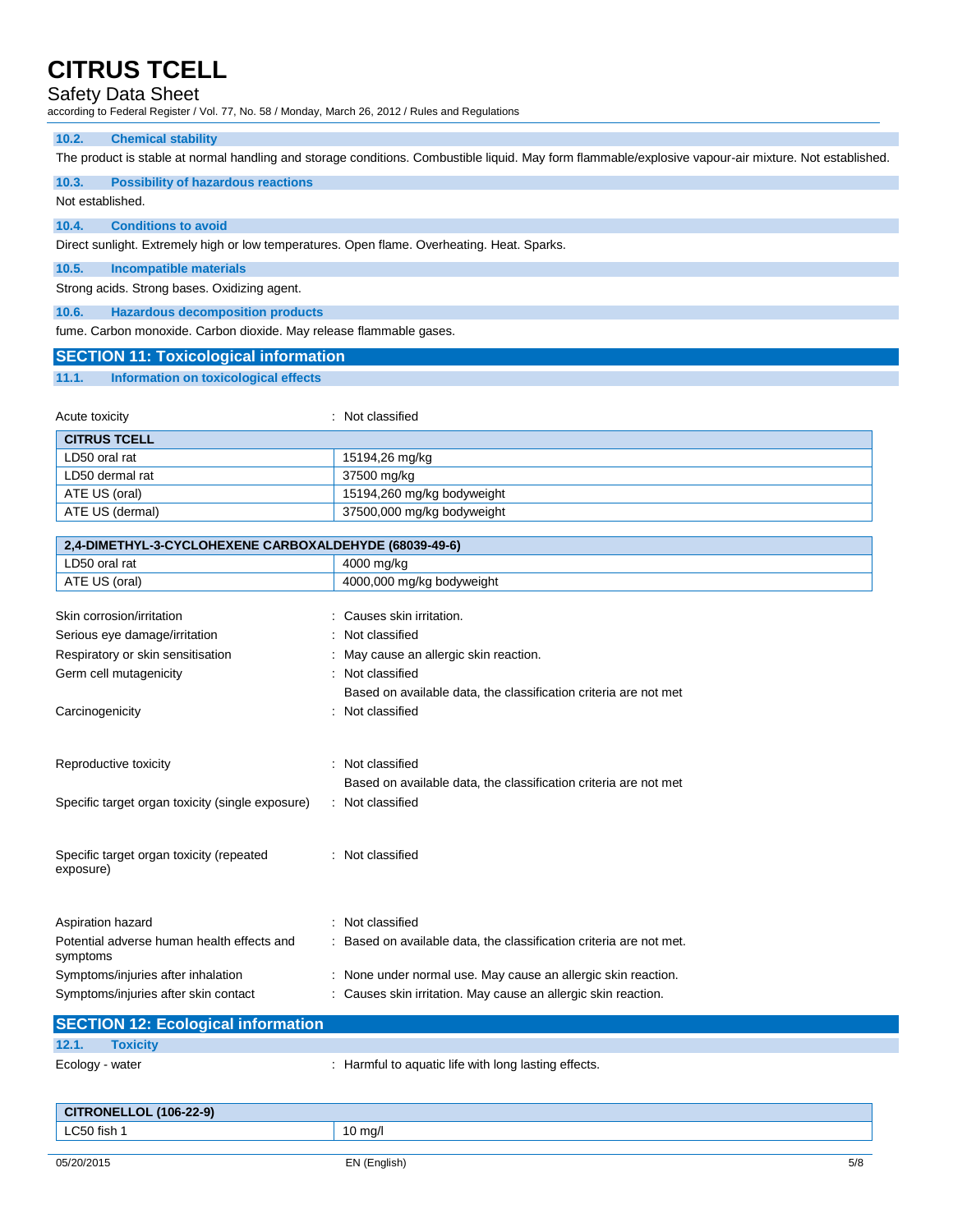### Safety Data Sheet

according to Federal Register / Vol. 77, No. 58 / Monday, March 26, 2012 / Rules and Regulations

#### **10.2. Chemical stability**

The product is stable at normal handling and storage conditions. Combustible liquid. May form flammable/explosive vapour-air mixture. Not established.

**10.3. Possibility of hazardous reactions**

Not established.

#### **10.4. Conditions to avoid**

Direct sunlight. Extremely high or low temperatures. Open flame. Overheating. Heat. Sparks.

**10.5. Incompatible materials**

Strong acids. Strong bases. Oxidizing agent.

**10.6. Hazardous decomposition products**

fume. Carbon monoxide. Carbon dioxide. May release flammable gases.

| <b>SECTION 11: Toxicological information</b> |                                      |  |  |
|----------------------------------------------|--------------------------------------|--|--|
| 11.1.                                        | Information on toxicological effects |  |  |

| Acute toxicity      | : Not classified           |
|---------------------|----------------------------|
| <b>CITRUS TCELL</b> |                            |
| LD50 oral rat       | 15194,26 mg/kg             |
| LD50 dermal rat     | 37500 mg/kg                |
| ATE US (oral)       | 15194,260 mg/kg bodyweight |
| ATE US (dermal)     | 37500,000 mg/kg bodyweight |

| 2,4-DIMETHYL-3-CYCLOHEXENE CARBOXALDEHYDE (68039-49-6) |                                                                     |  |
|--------------------------------------------------------|---------------------------------------------------------------------|--|
| LD50 oral rat                                          | 4000 mg/kg                                                          |  |
| ATE US (oral)                                          | 4000,000 mg/kg bodyweight                                           |  |
|                                                        |                                                                     |  |
| Skin corrosion/irritation                              | Causes skin irritation.                                             |  |
| Serious eye damage/irritation                          | : Not classified                                                    |  |
| Respiratory or skin sensitisation                      | : May cause an allergic skin reaction.                              |  |
| Germ cell mutagenicity                                 | : Not classified                                                    |  |
|                                                        | Based on available data, the classification criteria are not met    |  |
| Carcinogenicity                                        | : Not classified                                                    |  |
|                                                        |                                                                     |  |
| Reproductive toxicity                                  | Not classified<br>$\bullet$                                         |  |
|                                                        | Based on available data, the classification criteria are not met    |  |
| Specific target organ toxicity (single exposure)       | : Not classified                                                    |  |
|                                                        |                                                                     |  |
| Specific target organ toxicity (repeated               | : Not classified                                                    |  |
| exposure)                                              |                                                                     |  |
|                                                        |                                                                     |  |
| Aspiration hazard                                      | : Not classified                                                    |  |
| Potential adverse human health effects and<br>symptoms | : Based on available data, the classification criteria are not met. |  |
| Symptoms/injuries after inhalation                     | : None under normal use. May cause an allergic skin reaction.       |  |
| Symptoms/injuries after skin contact                   | : Causes skin irritation. May cause an allergic skin reaction.      |  |

|                 | <b>SECTION 12: Ecological information</b> |                                                      |
|-----------------|-------------------------------------------|------------------------------------------------------|
| 12.1.           | <b>Toxicity</b>                           |                                                      |
| Ecology - water |                                           | : Harmful to aquatic life with long lasting effects. |

| <b>CITRONELLOL (106-22-9)</b> |           |
|-------------------------------|-----------|
| LC50 fish                     | . ا/ma (، |
|                               |           |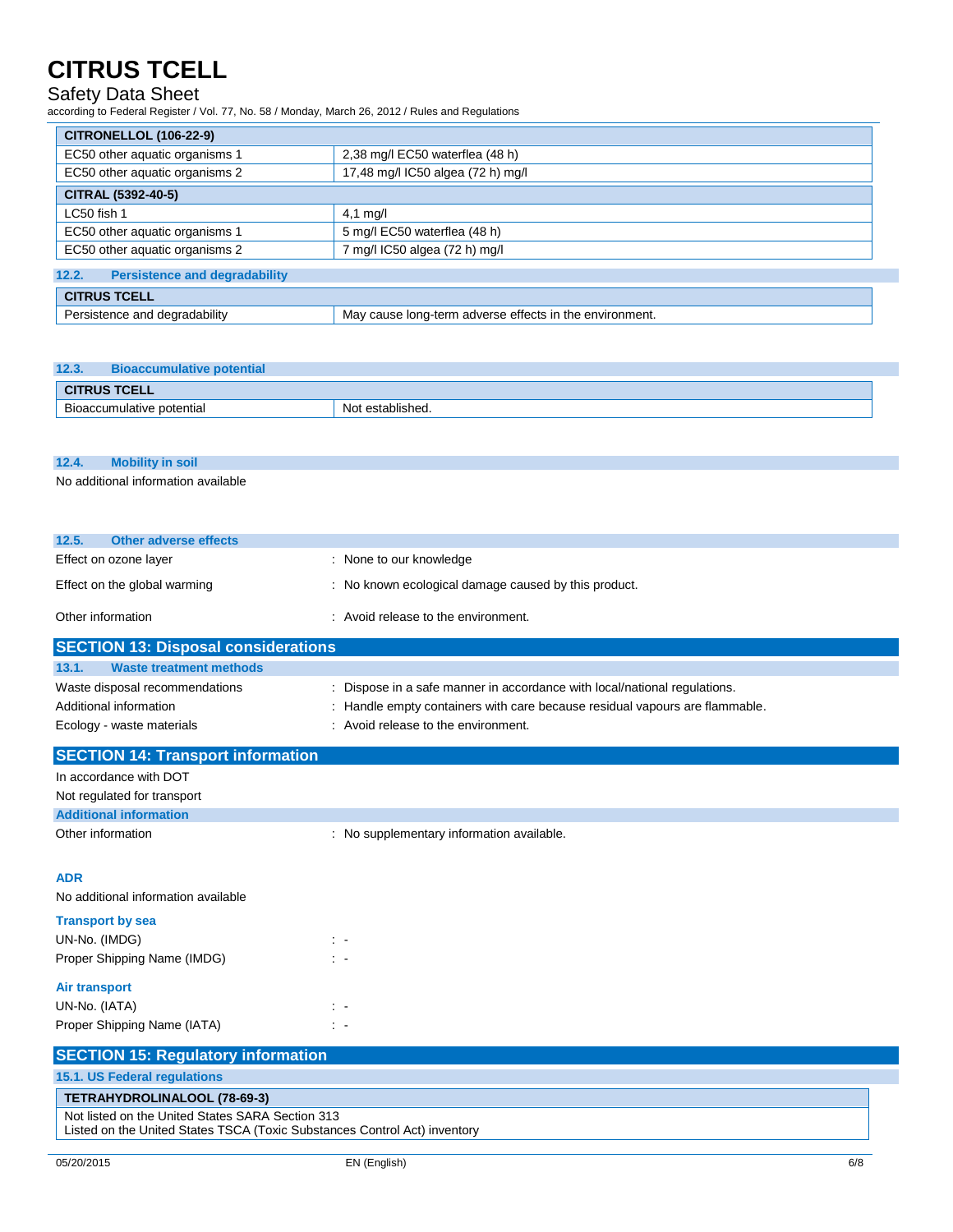### Safety Data Sheet

according to Federal Register / Vol. 77, No. 58 / Monday, March 26, 2012 / Rules and Regulations

| <b>CITRONELLOL (106-22-9)</b>                 |                                                         |  |
|-----------------------------------------------|---------------------------------------------------------|--|
| EC50 other aquatic organisms 1                | 2,38 mg/l EC50 waterflea (48 h)                         |  |
| EC50 other aquatic organisms 2                | 17,48 mg/l IC50 algea (72 h) mg/l                       |  |
| CITRAL (5392-40-5)                            |                                                         |  |
| LC50 fish 1                                   | 4,1 mg/l                                                |  |
| EC50 other aquatic organisms 1                | 5 mg/l EC50 waterflea (48 h)                            |  |
| EC50 other aquatic organisms 2                | 7 mg/l IC50 algea (72 h) mg/l                           |  |
| 12.2.<br><b>Persistence and degradability</b> |                                                         |  |
| <b>CITRUS TCELL</b>                           |                                                         |  |
| Persistence and degradability                 | May cause long-term adverse effects in the environment. |  |

| 12.3.<br><b>Bioaccumulative potential</b> |              |  |  |
|-------------------------------------------|--------------|--|--|
| <b>CITRUS TCELL</b>                       |              |  |  |
| Bioaccumulative potential                 | established. |  |  |

**12.4. Mobility in soil**

No additional information available

| 12.5.<br>Other adverse effects             |                                                      |  |  |
|--------------------------------------------|------------------------------------------------------|--|--|
| Effect on ozone layer                      | : None to our knowledge                              |  |  |
| Effect on the global warming               | : No known ecological damage caused by this product. |  |  |
| Other information                          | : Avoid release to the environment.                  |  |  |
| <b>SECTION 13: Disnosal considerations</b> |                                                      |  |  |

| <u>IULUTIUN TU. DISPUSAI CUIISIUGI AIIUIIS</u>           |                                                                                                                                                          |
|----------------------------------------------------------|----------------------------------------------------------------------------------------------------------------------------------------------------------|
| 13.1.<br><b>Waste treatment methods</b>                  |                                                                                                                                                          |
| Waste disposal recommendations<br>Additional information | : Dispose in a safe manner in accordance with local/national regulations.<br>: Handle empty containers with care because residual vapours are flammable. |
| Ecology - waste materials                                | : Avoid release to the environment.                                                                                                                      |
| <b>SECTION 14: Transport information</b>                 |                                                                                                                                                          |
| In accordance with DOT                                   |                                                                                                                                                          |

| TH accordance with DOT        |                                         |  |
|-------------------------------|-----------------------------------------|--|
| Not regulated for transport   |                                         |  |
| <b>Additional information</b> |                                         |  |
| Other information             | No supplementary information available. |  |

### **ADR**

No additional information available

| <b>Transport by sea</b>     |  |
|-----------------------------|--|
| UN-No. (IMDG)               |  |
| Proper Shipping Name (IMDG) |  |
| Air transport               |  |
| UN-No. (IATA)               |  |
| Proper Shipping Name (IATA) |  |

| <b>SECTION 15: Regulatory information</b>                                                                                     |  |
|-------------------------------------------------------------------------------------------------------------------------------|--|
| 15.1. US Federal regulations                                                                                                  |  |
| TETRAHYDROLINALOOL (78-69-3)                                                                                                  |  |
| Not listed on the United States SARA Section 313<br>Listed on the United States TSCA (Toxic Substances Control Act) inventory |  |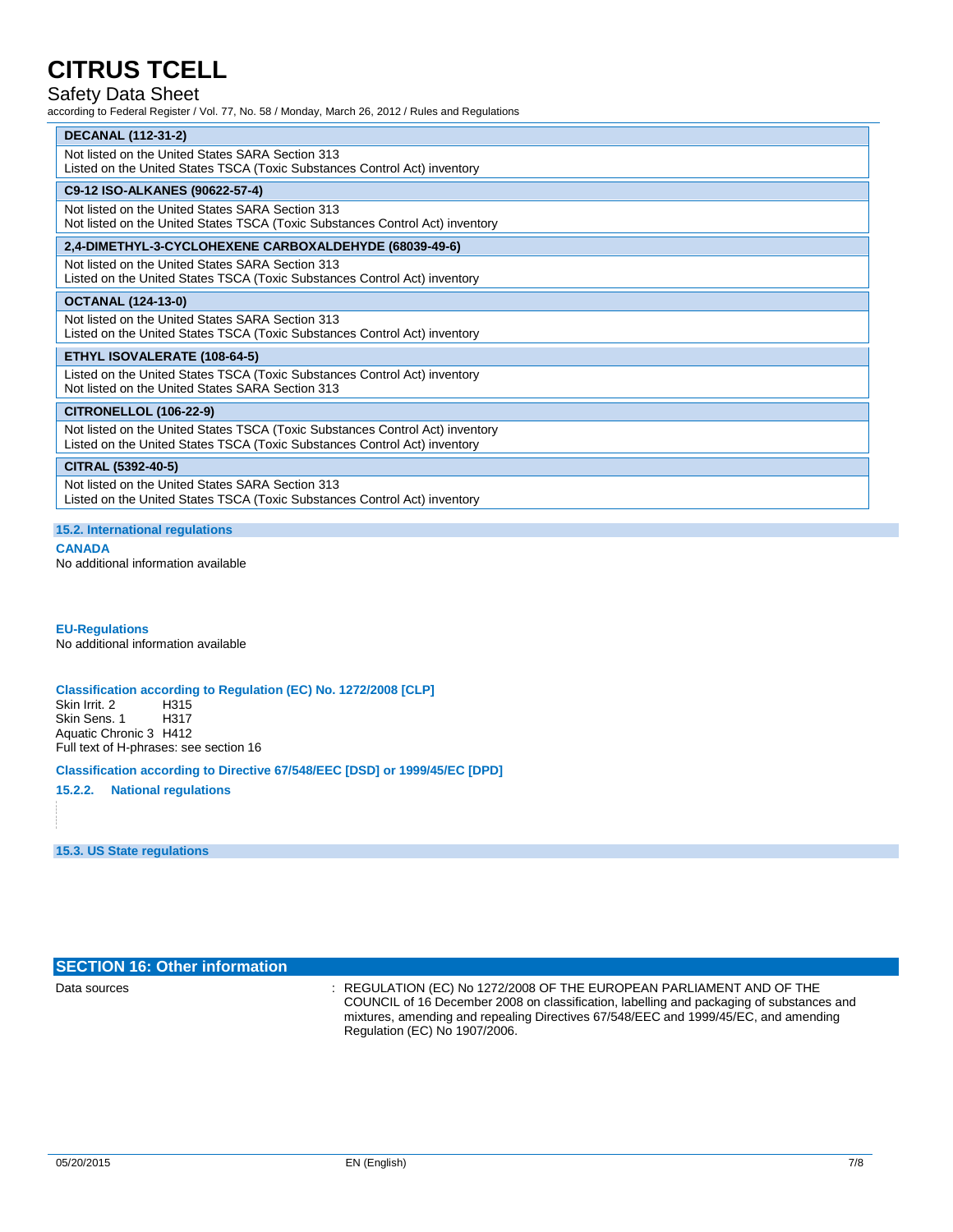### Safety Data Sheet

according to Federal Register / Vol. 77, No. 58 / Monday, March 26, 2012 / Rules and Regulations

| <b>DECANAL (112-31-2)</b>                    |  |
|----------------------------------------------|--|
| Not listed on the Holted States SARA Section |  |

| Not listed on the United States SARA Section 313<br>Listed on the United States TSCA (Toxic Substances Control Act) inventory                              |
|------------------------------------------------------------------------------------------------------------------------------------------------------------|
| C9-12 ISO-ALKANES (90622-57-4)                                                                                                                             |
| Not listed on the United States SARA Section 313<br>Not listed on the United States TSCA (Toxic Substances Control Act) inventory                          |
| 2,4-DIMETHYL-3-CYCLOHEXENE CARBOXALDEHYDE (68039-49-6)                                                                                                     |
| Not listed on the United States SARA Section 313<br>Listed on the United States TSCA (Toxic Substances Control Act) inventory                              |
| <b>OCTANAL (124-13-0)</b>                                                                                                                                  |
| Not listed on the United States SARA Section 313<br>Listed on the United States TSCA (Toxic Substances Control Act) inventory                              |
| ETHYL ISOVALERATE (108-64-5)                                                                                                                               |
| Listed on the United States TSCA (Toxic Substances Control Act) inventory<br>Not listed on the United States SARA Section 313                              |
| <b>CITRONELLOL (106-22-9)</b>                                                                                                                              |
| Not listed on the United States TSCA (Toxic Substances Control Act) inventory<br>Listed on the United States TSCA (Toxic Substances Control Act) inventory |
| CITRAL (5392-40-5)                                                                                                                                         |
| Not listed on the United States SARA Section 313<br>Listed on the United States TSCA (Toxic Substances Control Act) inventory                              |

#### **15.2. International regulations**

#### **CANADA**

No additional information available

**EU-Regulations** No additional information available

#### **Classification according to Regulation (EC) No. 1272/2008 [CLP]**

Skin Irrit. 2 H315<br>Skin Sens. 1 H317 Skin Sens. 1 Aquatic Chronic 3 H412 Full text of H-phrases: see section 16

#### **Classification according to Directive 67/548/EEC [DSD] or 1999/45/EC [DPD]**

**15.2.2. National regulations**

**15.3. US State regulations**

## **SECTION 16: Other information**

Data sources : REGULATION (EC) No 1272/2008 OF THE EUROPEAN PARLIAMENT AND OF THE COUNCIL of 16 December 2008 on classification, labelling and packaging of substances and mixtures, amending and repealing Directives 67/548/EEC and 1999/45/EC, and amending Regulation (EC) No 1907/2006.